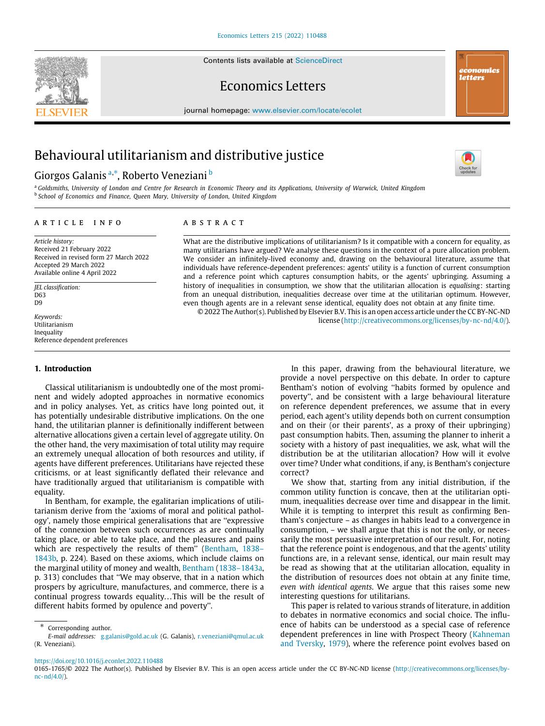Contents lists available at [ScienceDirect](http://www.elsevier.com/locate/ecolet)







journal homepage: [www.elsevier.com/locate/ecolet](http://www.elsevier.com/locate/ecolet)

# Behavioural utilitarianism and distributive justice

## Giorgos G[a](#page-0-0)lanis ª,\*, Ro[b](#page-0-2)erto Veneziani <sup>b</sup>



<span id="page-0-2"></span><span id="page-0-0"></span><sup>a</sup> *Goldsmiths, University of London and Centre for Research in Economic Theory and its Applications, University of Warwick, United Kingdom* b *School of Economics and Finance, Queen Mary, University of London, United Kingdom*

### a r t i c l e i n f o

*Article history:* Received 21 February 2022 Received in revised form 27 March 2022 Accepted 29 March 2022 Available online 4 April 2022

*JEL classification:* D63 D9

*Keywords:* Utilitarianism Inequality Reference dependent preferences

#### **1. Introduction**

Classical utilitarianism is undoubtedly one of the most prominent and widely adopted approaches in normative economics and in policy analyses. Yet, as critics have long pointed out, it has potentially undesirable distributive implications. On the one hand, the utilitarian planner is definitionally indifferent between alternative allocations given a certain level of aggregate utility. On the other hand, the very maximisation of total utility may require an extremely unequal allocation of both resources and utility, if agents have different preferences. Utilitarians have rejected these criticisms, or at least significantly deflated their relevance and have traditionally argued that utilitarianism is compatible with equality.

In Bentham, for example, the egalitarian implications of utilitarianism derive from the 'axioms of moral and political pathology', namely those empirical generalisations that are ''expressive of the connexion between such occurrences as are continually taking place, or able to take place, and the pleasures and pains which are respectively the results of them" ([Bentham](#page-3-0), [1838–](#page-3-0) [1843b,](#page-3-0) p. 224). Based on these axioms, which include claims on the marginal utility of money and wealth, [Bentham](#page-3-1) [\(1838–1843a,](#page-3-1) p. 313) concludes that ''We may observe, that in a nation which prospers by agriculture, manufactures, and commerce, there is a continual progress towards equality...This will be the result of different habits formed by opulence and poverty''.

## A B S T R A C T

What are the distributive implications of utilitarianism? Is it compatible with a concern for equality, as many utilitarians have argued? We analyse these questions in the context of a pure allocation problem. We consider an infinitely-lived economy and, drawing on the behavioural literature, assume that individuals have reference-dependent preferences: agents' utility is a function of current consumption and a reference point which captures consumption habits, or the agents' upbringing. Assuming a history of inequalities in consumption, we show that the utilitarian allocation is *equalising*: starting from an unequal distribution, inequalities decrease over time at the utilitarian optimum. However, even though agents are in a relevant sense identical, equality does not obtain at any finite time. © 2022 The Author(s). Published by Elsevier B.V. This is an open access article under the CC BY-NC-ND

license (<http://creativecommons.org/licenses/by-nc-nd/4.0/>).

In this paper, drawing from the behavioural literature, we provide a novel perspective on this debate. In order to capture Bentham's notion of evolving ''habits formed by opulence and poverty'', and be consistent with a large behavioural literature on reference dependent preferences, we assume that in every period, each agent's utility depends both on current consumption and on their (or their parents', as a proxy of their upbringing) past consumption habits. Then, assuming the planner to inherit a society with a history of past inequalities, we ask, what will the distribution be at the utilitarian allocation? How will it evolve over time? Under what conditions, if any, is Bentham's conjecture correct?

We show that, starting from any initial distribution, if the common utility function is concave, then at the utilitarian optimum, inequalities decrease over time and disappear in the limit. While it is tempting to interpret this result as confirming Bentham's conjecture – as changes in habits lead to a convergence in consumption, – we shall argue that this is not the only, or necessarily the most persuasive interpretation of our result. For, noting that the reference point is endogenous, and that the agents' utility functions are, in a relevant sense, identical, our main result may be read as showing that at the utilitarian allocation, equality in the distribution of resources does not obtain at any finite time, *even with identical agents*. We argue that this raises some new interesting questions for utilitarians.

This paper is related to various strands of literature, in addition to debates in normative economics and social choice. The influence of habits can be understood as a special case of reference dependent preferences in line with Prospect Theory ([Kahneman](#page-3-2) [and Tversky,](#page-3-2) [1979\)](#page-3-2), where the reference point evolves based on

<span id="page-0-1"></span><sup>∗</sup> Corresponding author.

*E-mail addresses:* [g.galanis@gold.ac.uk](mailto:g.galanis@gold.ac.uk) (G. Galanis), [r.veneziani@qmul.ac.uk](mailto:r.veneziani@qmul.ac.uk) (R. Veneziani).

<https://doi.org/10.1016/j.econlet.2022.110488>

<sup>0165-1765/</sup>© 2022 The Author(s). Published by Elsevier B.V. This is an open access article under the CC BY-NC-ND license [\(http://creativecommons.org/licenses/by](http://creativecommons.org/licenses/by-nc-nd/4.0/) $nc-nd/4.0/$ ).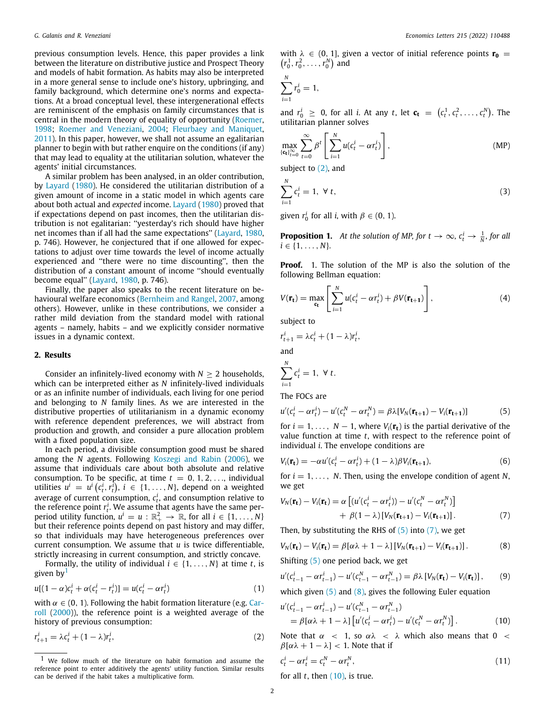previous consumption levels. Hence, this paper provides a link between the literature on distributive justice and Prospect Theory and models of habit formation. As habits may also be interpreted in a more general sense to include one's history, upbringing, and family background, which determine one's norms and expectations. At a broad conceptual level, these intergenerational effects are reminiscent of the emphasis on family circumstances that is central in the modern theory of equality of opportunity [\(Roemer,](#page-3-3) [1998;](#page-3-3) [Roemer and Veneziani](#page-3-4), [2004](#page-3-4); [Fleurbaey and Maniquet,](#page-3-5) [2011\)](#page-3-5). In this paper, however, we shall not assume an egalitarian planner to begin with but rather enquire on the conditions (if any) that may lead to equality at the utilitarian solution, whatever the agents' initial circumstances.

A similar problem has been analysed, in an older contribution, by [Layard](#page-3-6) [\(1980](#page-3-6)). He considered the utilitarian distribution of a given amount of income in a static model in which agents care about both actual and *expected* income. [Layard](#page-3-6) ([1980](#page-3-6)) proved that if expectations depend on past incomes, then the utilitarian distribution is not egalitarian: ''yesterday's rich should have higher net incomes than if all had the same expectations'' ([Layard](#page-3-6), [1980,](#page-3-6) p. 746). However, he conjectured that if one allowed for expectations to adjust over time towards the level of income actually experienced and ''there were no time discounting'', then the distribution of a constant amount of income ''should eventually become equal'' ([Layard,](#page-3-6) [1980](#page-3-6), p. 746).

Finally, the paper also speaks to the recent literature on behavioural welfare economics ([Bernheim and Rangel,](#page-3-7) [2007](#page-3-7), among others). However, unlike in these contributions, we consider a rather mild deviation from the standard model with rational agents – namely, habits – and we explicitly consider normative issues in a dynamic context.

#### **2. Results**

Consider an infinitely-lived economy with  $N \geq 2$  households, which can be interpreted either as *N* infinitely-lived individuals or as an infinite number of individuals, each living for one period and belonging to *N* family lines. As we are interested in the distributive properties of utilitarianism in a dynamic economy with reference dependent preferences, we will abstract from production and growth, and consider a pure allocation problem with a fixed population size.

In each period, a divisible consumption good must be shared among the *N* agents. Following [Koszegi and Rabin](#page-3-8) ([2006](#page-3-8)), we assume that individuals care about both absolute and relative consumption. To be specific, at time  $t = 0, 1, 2, \ldots$ , individual utilities  $u^i = u^i(c_t^i, r_t^i)$ ,  $i \in \{1, \ldots, N\}$ , depend on a weighted average of current consumption,  $c_t^i$ , and consumption relative to the reference point  $r_t^i$ . We assume that agents have the same perperiod utility function,  $u^i = u : \mathbb{R}^2_+ \to \mathbb{R}$ , for all  $i \in \{1, ..., N\}$ but their reference points depend on past history and may differ, so that individuals may have heterogeneous preferences over current consumption. We assume that *u* is twice differentiable, strictly increasing in current consumption, and strictly concave.

Formally, the utility of individual  $i \in \{1, \ldots, N\}$  at time *t*, is given by<sup>[1](#page-1-0)</sup>

<span id="page-1-0"></span>
$$
u[(1-\alpha)c_t^i + \alpha(c_t^i - r_t^i)] = u(c_t^i - \alpha r_t^i)
$$
\n(1)

with  $\alpha \in (0, 1)$ . Following the habit formation literature (e.g. [Car](#page-3-9)[roll](#page-3-9) [\(2000](#page-3-9))), the reference point is a weighted average of the history of previous consumption:

$$
r_{t+1}^i = \lambda c_t^i + (1 - \lambda)r_t^i,\tag{2}
$$

with  $\lambda \in (0, 1]$ , given a vector of initial reference points  $\mathbf{r_0}$  =  $(r_0^1, r_0^2, \ldots, r_0^N)$  and

$$
\sum_{i=1}^N r_0^i = 1,
$$

and  $r_0^i \geq 0$ , for all *i*. At any *t*, let  $\mathbf{c}_t = (c_t^1, c_t^2, ..., c_t^N)$ . The utilitarian planner solves

$$
\max_{\{\mathbf{c_t}\}_{t=0}^{\infty}} \sum_{t=0}^{\infty} \beta^t \left[ \sum_{i=1}^N u(c_t^i - \alpha r_t^i) \right],\tag{MP}
$$

subject to  $(2)$  $(2)$ , and

$$
\sum_{i=1}^{N} c_t^i = 1, \ \forall \ t,\tag{3}
$$

<span id="page-1-7"></span>given  $r_0^i$  for all *i*, with  $\beta \in (0, 1)$ .

**Proposition 1.** At the solution of MP, for  $t \to \infty$ ,  $c_t^i \to \frac{1}{N}$ , for all  $i \in \{1, \ldots, N\}.$ 

**Proof.** 1. The solution of the MP is also the solution of the following Bellman equation:

$$
V(\mathbf{r_t}) = \max_{\mathbf{c_t}} \left[ \sum_{i=1}^{N} u(c_t^i - \alpha r_t^i) + \beta V(\mathbf{r_{t+1}}) \right],
$$
\n(4)

subject to

$$
r_{t+1}^{i} = \lambda c_t^{i} + (1 - \lambda)r_t^{i},
$$
  
and  

$$
\sum_{i=1}^{N} c_t^{i} = 1, \forall t.
$$

<span id="page-1-2"></span>The FOCs are

$$
u'(c_t^i - \alpha r_t^i) - u'(c_t^N - \alpha r_t^N) = \beta \lambda [V_N(\mathbf{r_{t+1}}) - V_i(\mathbf{r_{t+1}})] \tag{5}
$$

for  $i = 1, \ldots, N - 1$ , where  $V_i(\mathbf{r}_t)$  is the partial derivative of the value function at time *t*, with respect to the reference point of individual *i*. The envelope conditions are

$$
V_i(\mathbf{r_t}) = -\alpha u'(c_t^i - \alpha r_t^i) + (1 - \lambda)\beta V_i(\mathbf{r_{t+1}}),
$$
\n(6)

for  $i = 1, \ldots, N$ . Then, using the envelope condition of agent N, we get

<span id="page-1-3"></span>
$$
V_N(\mathbf{r_t}) - V_i(\mathbf{r_t}) = \alpha \left[ (u'(c_t^i - \alpha r_t^i)) - u'(c_t^N - \alpha r_t^N) \right] + \beta (1 - \lambda) \left[ V_N(\mathbf{r_{t+1}}) - V_i(\mathbf{r_{t+1}}) \right]. \tag{7}
$$

<span id="page-1-4"></span>Then, by substituting the RHS of  $(5)$  into  $(7)$  $(7)$ , we get

$$
V_N(\mathbf{r_t}) - V_i(\mathbf{r_t}) = \beta[\alpha\lambda + 1 - \lambda] \left[ V_N(\mathbf{r_{t+1}}) - V_i(\mathbf{r_{t+1}}) \right]. \tag{8}
$$

Shifting [\(5\)](#page-1-2) one period back, we get

$$
u'(c_{t-1}^i - \alpha r_{t-1}^i) - u'(c_{t-1}^N - \alpha r_{t-1}^N) = \beta \lambda \left[ V_N(\mathbf{r_t}) - V_i(\mathbf{r_t}) \right],\tag{9}
$$

which given  $(5)$  $(5)$  $(5)$  and  $(8)$  $(8)$ , gives the following Euler equation

<span id="page-1-5"></span>
$$
u'(c_{t-1}^i - \alpha r_{t-1}^i) - u'(c_{t-1}^N - \alpha r_{t-1}^N)
$$
  
=  $\beta[\alpha\lambda + 1 - \lambda] [u'(c_t^i - \alpha r_t^i) - u'(c_t^N - \alpha r_t^N)].$  (10)

<span id="page-1-1"></span>Note that  $\alpha$  < 1, so  $\alpha\lambda$  <  $\lambda$  which also means that 0 <  $β[αλ + 1 − λ] < 1$ . Note that if

$$
c_t^i - \alpha r_t^i = c_t^N - \alpha r_t^N, \qquad (11)
$$

<span id="page-1-6"></span>for all  $t$ , then  $(10)$  $(10)$ , is true.

<sup>1</sup> We follow much of the literature on habit formation and assume the reference point to enter additively the agents' utility function. Similar results can be derived if the habit takes a multiplicative form.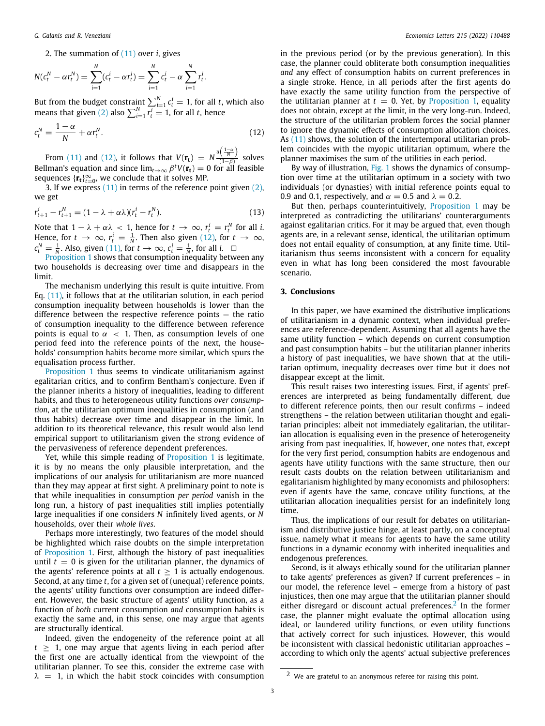2. The summation of ([11](#page-1-6)) over *i*, gives

$$
N(c_t^N - \alpha r_t^N) = \sum_{i=1}^N (c_t^i - \alpha r_t^i) = \sum_{i=1}^N c_t^i - \alpha \sum_{i=1}^N r_t^i.
$$

But from the budget constraint  $\sum_{i=1}^{N} c_i^i = 1$ , for all *t*, which also means that given [\(2](#page-1-1)) also  $\sum_{i=1}^{N} r_t^i = 1$ , for all *t*, hence

$$
c_t^N = \frac{1 - \alpha}{N} + \alpha r_t^N. \tag{12}
$$

From [\(11\)](#page-1-6) and ([12](#page-2-0)), it follows that  $V(\mathbf{r_t}) = N \frac{u(\frac{1-\alpha}{N})}{(1-\beta)}$  $\frac{\langle N \rangle}{(1-\beta)}$  solves Bellman's equation and since  $\lim_{t\to\infty} \beta^t V(\mathbf{r_t}) = 0$  for all feasible sequences  $\{\mathbf{r_t}\}_{t=0}^{\infty}$ , we conclude that it solves MP.

3. If we express  $(11)$  $(11)$  $(11)$  in terms of the reference point given  $(2)$  $(2)$ , we get

$$
r_{t+1}^i - r_{t+1}^N = (1 - \lambda + \alpha \lambda)(r_t^i - r_t^N). \tag{13}
$$

Note that  $1 - \lambda + \alpha\lambda < 1$ , hence for  $t \to \infty$ ,  $r_t^i = r_t^N$  for all *i*. Hence, for  $t \to \infty$ ,  $r_t^i = \frac{1}{N}$ . Then also given [\(12\)](#page-2-0), for  $t \to \infty$ ,  $c_t^N = \frac{1}{N}$ . Also, given ([11\)](#page-1-6), for  $t \to \infty$ ,  $c_t^i = \frac{1}{N}$ , for all *i*. □

[Proposition](#page-1-7) [1](#page-1-7) shows that consumption inequality between any two households is decreasing over time and disappears in the limit.

The mechanism underlying this result is quite intuitive. From Eq. [\(11\)](#page-1-6), it follows that at the utilitarian solution, in each period consumption inequality between households is lower than the difference between the respective reference points — the ratio of consumption inequality to the difference between reference points is equal to  $\alpha$  < 1. Then, as consumption levels of one period feed into the reference points of the next, the households' consumption habits become more similar, which spurs the equalisation process further.

[Proposition](#page-1-7) [1](#page-1-7) thus seems to vindicate utilitarianism against egalitarian critics, and to confirm Bentham's conjecture. Even if the planner inherits a history of inequalities, leading to different habits, and thus to heterogeneous utility functions *over consumption*, at the utilitarian optimum inequalities in consumption (and thus habits) decrease over time and disappear in the limit. In addition to its theoretical relevance, this result would also lend empirical support to utilitarianism given the strong evidence of the pervasiveness of reference dependent preferences.

Yet, while this simple reading of [Proposition](#page-1-7) [1](#page-1-7) is legitimate, it is by no means the only plausible interpretation, and the implications of our analysis for utilitarianism are more nuanced than they may appear at first sight. A preliminary point to note is that while inequalities in consumption *per period* vanish in the long run, a history of past inequalities still implies potentially large inequalities if one considers *N* infinitely lived agents, or *N* households, over their *whole lives*.

Perhaps more interestingly, two features of the model should be highlighted which raise doubts on the simple interpretation of [Proposition](#page-1-7) [1](#page-1-7). First, although the history of past inequalities until  $t = 0$  is given for the utilitarian planner, the dynamics of the agents' reference points at all  $t \geq 1$  is actually endogenous. Second, at any time *t*, for a given set of (unequal) reference points, the agents' utility functions over consumption are indeed different. However, the basic structure of agents' utility function, as a function of *both* current consumption *and* consumption habits is exactly the same and, in this sense, one may argue that agents are structurally identical.

Indeed, given the endogeneity of the reference point at all  $t \geq 1$ , one may argue that agents living in each period after the first one are actually identical from the viewpoint of the utilitarian planner. To see this, consider the extreme case with  $\lambda$  = 1, in which the habit stock coincides with consumption in the previous period (or by the previous generation). In this case, the planner could obliterate both consumption inequalities *and* any effect of consumption habits on current preferences in a single stroke. Hence, in all periods after the first agents do have exactly the same utility function from the perspective of the utilitarian planner at  $t = 0$ . Yet, by [Proposition](#page-1-7) [1](#page-1-7), equality does not obtain, except at the limit, in the very long-run. Indeed, the structure of the utilitarian problem forces the social planner to ignore the dynamic effects of consumption allocation choices. As [\(11](#page-1-6)) shows, the solution of the intertemporal utilitarian problem coincides with the myopic utilitarian optimum, where the planner maximises the sum of the utilities in each period.

<span id="page-2-0"></span>By way of illustration, [Fig.](#page-3-10) [1](#page-3-10) shows the dynamics of consumption over time at the utilitarian optimum in a society with two individuals (or dynasties) with initial reference points equal to 0.9 and 0.1, respectively, and  $\alpha = 0.5$  and  $\lambda = 0.2$ .

But then, perhaps counterintuitively, [Proposition](#page-1-7) [1](#page-1-7) may be interpreted as contradicting the utilitarians' counterarguments against egalitarian critics. For it may be argued that, even though agents are, in a relevant sense, identical, the utilitarian optimum does not entail equality of consumption, at any finite time. Utilitarianism thus seems inconsistent with a concern for equality even in what has long been considered the most favourable scenario.

#### **3. Conclusions**

In this paper, we have examined the distributive implications of utilitarianism in a dynamic context, when individual preferences are reference-dependent. Assuming that all agents have the same utility function – which depends on current consumption and past consumption habits – but the utilitarian planner inherits a history of past inequalities, we have shown that at the utilitarian optimum, inequality decreases over time but it does not disappear except at the limit.

This result raises two interesting issues. First, if agents' preferences are interpreted as being fundamentally different, due to different reference points, then our result confirms – indeed strengthens – the relation between utilitarian thought and egalitarian principles: albeit not immediately egalitarian, the utilitarian allocation is equalising even in the presence of heterogeneity arising from past inequalities. If, however, one notes that, except for the very first period, consumption habits are endogenous and agents have utility functions with the same structure, then our result casts doubts on the relation between utilitarianism and egalitarianism highlighted by many economists and philosophers: even if agents have the same, concave utility functions, at the utilitarian allocation inequalities persist for an indefinitely long time.

Thus, the implications of our result for debates on utilitarianism and distributive justice hinge, at least partly, on a conceptual issue, namely what it means for agents to have the same utility functions in a dynamic economy with inherited inequalities and endogenous preferences.

<span id="page-2-1"></span>Second, is it always ethically sound for the utilitarian planner to take agents' preferences as given? If current preferences – in our model, the reference level – emerge from a history of past injustices, then one may argue that the utilitarian planner should either disregard or discount actual preferences. $2$  In the former case, the planner might evaluate the optimal allocation using ideal, or laundered utility functions, or even utility functions that actively correct for such injustices. However, this would be inconsistent with classical hedonistic utilitarian approaches – according to which only the agents' actual subjective preferences

<sup>2</sup> We are grateful to an anonymous referee for raising this point.